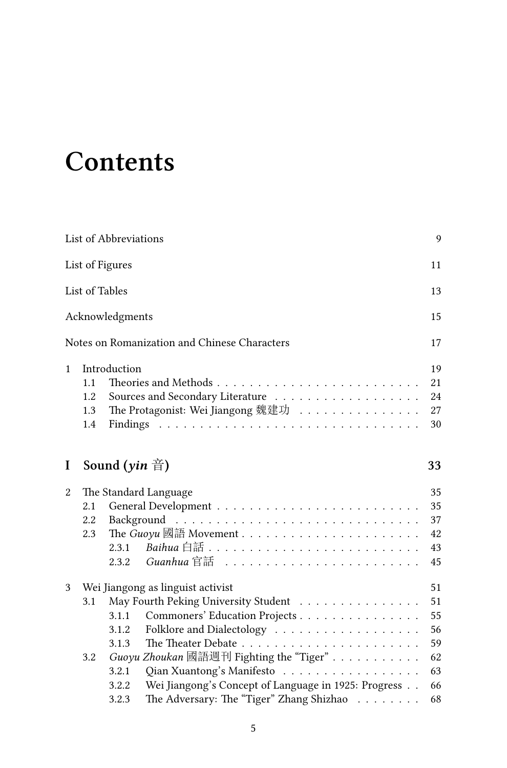## **Contents**

| List of Abbreviations |                                         |                                           |                                                      |                            |  |  |  |  |  |
|-----------------------|-----------------------------------------|-------------------------------------------|------------------------------------------------------|----------------------------|--|--|--|--|--|
| List of Figures       |                                         |                                           |                                                      |                            |  |  |  |  |  |
|                       | List of Tables<br>13                    |                                           |                                                      |                            |  |  |  |  |  |
|                       | Acknowledgments<br>15                   |                                           |                                                      |                            |  |  |  |  |  |
|                       |                                         |                                           | Notes on Romanization and Chinese Characters         | 17                         |  |  |  |  |  |
| $\mathbf{1}$          | 1.1<br>1.2<br>1.3<br>1.4                | Introduction                              | The Protagonist: Wei Jiangong 魏建功                    | 19<br>21<br>24<br>27<br>30 |  |  |  |  |  |
| I                     |                                         | Sound ( <i>yin</i> $\hat{\overline{H}}$ ) |                                                      | 33                         |  |  |  |  |  |
| $\overline{2}$        | The Standard Language                   |                                           |                                                      |                            |  |  |  |  |  |
|                       | 2.1                                     |                                           |                                                      | 35                         |  |  |  |  |  |
|                       | 2.2                                     |                                           |                                                      |                            |  |  |  |  |  |
|                       | 2.3                                     |                                           |                                                      | 42                         |  |  |  |  |  |
|                       |                                         | 2.3.1                                     |                                                      | 43                         |  |  |  |  |  |
|                       |                                         | 2.3.2                                     |                                                      | 45                         |  |  |  |  |  |
| 3                     | 51<br>Wei Jiangong as linguist activist |                                           |                                                      |                            |  |  |  |  |  |
|                       | 3.1                                     |                                           | May Fourth Peking University Student                 | 51                         |  |  |  |  |  |
|                       |                                         | 3.1.1                                     | Commoners' Education Projects                        | 55                         |  |  |  |  |  |
|                       |                                         | 3.1.2                                     |                                                      | 56                         |  |  |  |  |  |
|                       |                                         | 3.1.3                                     |                                                      | 59                         |  |  |  |  |  |
|                       | 3.2                                     |                                           | Guoyu Zhoukan 國語週刊 Fighting the "Tiger"              | 62                         |  |  |  |  |  |
|                       |                                         | 3.2.1                                     | Qian Xuantong's Manifesto                            | 63                         |  |  |  |  |  |
|                       |                                         | 3.2.2                                     | Wei Jiangong's Concept of Language in 1925: Progress | 66                         |  |  |  |  |  |
|                       |                                         | 3.2.3                                     | The Adversary: The "Tiger" Zhang Shizhao             | 68                         |  |  |  |  |  |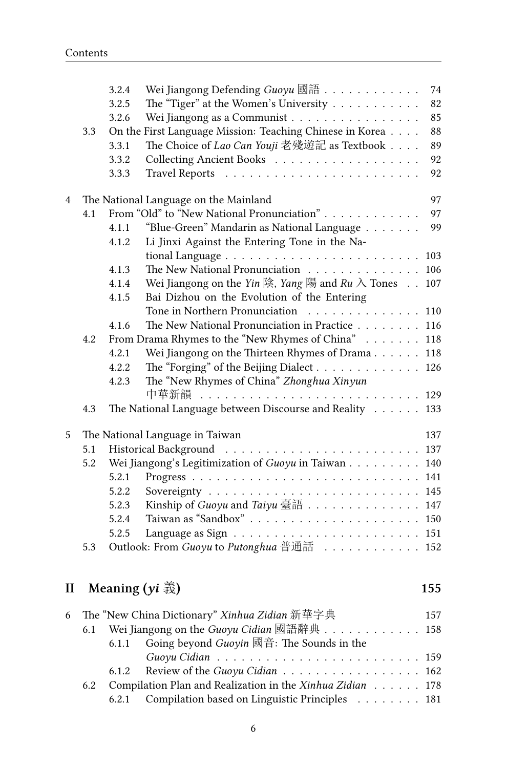|              |                                       | 3.2.4 | Wei Jiangong Defending <i>Guoyu</i> 國語                                         | 74  |  |
|--------------|---------------------------------------|-------|--------------------------------------------------------------------------------|-----|--|
|              |                                       | 3.2.5 | The "Tiger" at the Women's University                                          | 82  |  |
|              |                                       | 3.2.6 | Wei Jiangong as a Communist                                                    | 85  |  |
|              | 3.3                                   |       | On the First Language Mission: Teaching Chinese in Korea                       | 88  |  |
|              |                                       | 3.3.1 | The Choice of <i>Lao Can Youji </i> 老殘遊記 as Textbook                           | 89  |  |
|              |                                       | 3.3.2 | Collecting Ancient Books                                                       | 92  |  |
|              |                                       | 3.3.3 |                                                                                | 92  |  |
| 4            | The National Language on the Mainland |       |                                                                                |     |  |
|              | 4.1                                   |       | From "Old" to "New National Pronunciation"                                     | 97  |  |
|              |                                       | 4.1.1 | "Blue-Green" Mandarin as National Language                                     | 99  |  |
|              |                                       | 4.1.2 | Li Jinxi Against the Entering Tone in the Na-                                  | 103 |  |
|              |                                       | 4.1.3 | The New National Pronunciation                                                 | 106 |  |
|              |                                       | 4.1.4 | Wei Jiangong on the Yin $\mathbb{R}$ , Yang $\mathbb{F}$ and $Ru \wedge$ Tones | 107 |  |
|              |                                       | 4.1.5 | Bai Dizhou on the Evolution of the Entering                                    |     |  |
|              |                                       |       | Tone in Northern Pronunciation                                                 | 110 |  |
|              |                                       | 4.1.6 | The New National Pronunciation in Practice                                     | 116 |  |
|              | 4.2                                   |       | From Drama Rhymes to the "New Rhymes of China"                                 | 118 |  |
|              |                                       | 4.2.1 | Wei Jiangong on the Thirteen Rhymes of Drama 118                               |     |  |
|              |                                       | 4.2.2 | The "Forging" of the Beijing Dialect 126                                       |     |  |
|              |                                       | 4.2.3 | The "New Rhymes of China" Zhonghua Xinyun                                      |     |  |
|              |                                       |       | 中華新韻                                                                           |     |  |
|              | 4.3                                   |       | The National Language between Discourse and Reality 133                        |     |  |
| 5            |                                       |       | The National Language in Taiwan                                                | 137 |  |
|              | 5.1                                   |       |                                                                                | 137 |  |
|              | 5.2                                   |       | Wei Jiangong's Legitimization of Guoyu in Taiwan 140                           |     |  |
|              |                                       | 5.2.1 |                                                                                |     |  |
|              |                                       | 5.2.2 |                                                                                | 145 |  |
|              |                                       | 5.2.3 | Kinship of Guoyu and Taiyu 臺語 147                                              |     |  |
|              |                                       | 5.2.4 |                                                                                |     |  |
|              |                                       | 5.2.5 |                                                                                |     |  |
|              | 5.3                                   |       | Outlook: From Guoyu to Putonghua 普通話 152                                       |     |  |
| $\mathbf{I}$ |                                       |       |                                                                                | 155 |  |
|              |                                       |       | Meaning $(yi$ 義)                                                               |     |  |
| 6            |                                       |       | The "New China Dictionary" Xinhua Zidian 新華字典                                  | 157 |  |
|              | 6.1                                   |       | Wei Jiangong on the <i>Guoyu Cidian</i> 國語辭典                                   | 158 |  |
|              |                                       | 6.1.1 | Going beyond <i>Guoyin</i> 國音: The Sounds in the                               |     |  |
|              |                                       |       |                                                                                | 159 |  |
|              |                                       | 6.1.2 | Review of the Guoyu Cidian                                                     | 162 |  |
|              | 6.2                                   |       | Compilation Plan and Realization in the Xinhua Zidian                          | 178 |  |
|              |                                       | 6.2.1 | Compilation based on Linguistic Principles 181                                 |     |  |